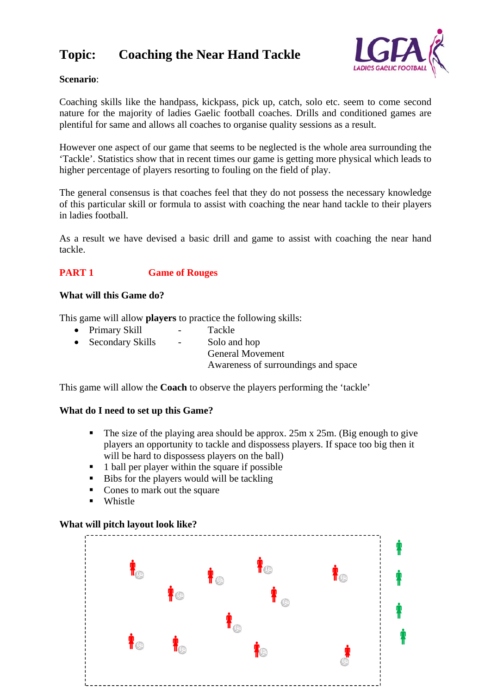# **Topic: Coaching the Near Hand Tackle**



# **Scenario**:

Coaching skills like the handpass, kickpass, pick up, catch, solo etc. seem to come second nature for the majority of ladies Gaelic football coaches. Drills and conditioned games are plentiful for same and allows all coaches to organise quality sessions as a result.

However one aspect of our game that seems to be neglected is the whole area surrounding the 'Tackle'. Statistics show that in recent times our game is getting more physical which leads to higher percentage of players resorting to fouling on the field of play.

The general consensus is that coaches feel that they do not possess the necessary knowledge of this particular skill or formula to assist with coaching the near hand tackle to their players in ladies football.

As a result we have devised a basic drill and game to assist with coaching the near hand tackle.

## **PART 1 Game of Rouges**

#### **What will this Game do?**

This game will allow **players** to practice the following skills:

- Primary Skill Tackle
- Secondary Skills Solo and hop General Movement Awareness of surroundings and space

This game will allow the **Coach** to observe the players performing the 'tackle'

#### **What do I need to set up this Game?**

- The size of the playing area should be approx. 25m x 25m. (Big enough to give players an opportunity to tackle and dispossess players. If space too big then it will be hard to dispossess players on the ball)
- $\blacksquare$  1 ball per player within the square if possible
- $\blacksquare$  Bibs for the players would will be tackling
- Cones to mark out the square
- **Whistle**

#### **What will pitch layout look like?**

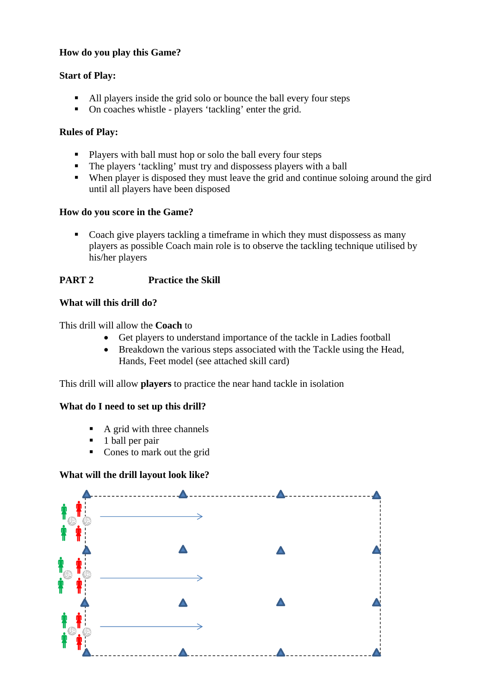# **How do you play this Game?**

## **Start of Play:**

- All players inside the grid solo or bounce the ball every four steps
- On coaches whistle players 'tackling' enter the grid.

## **Rules of Play:**

- **Players with ball must hop or solo the ball every four steps**
- The players 'tackling' must try and dispossess players with a ball
- When player is disposed they must leave the grid and continue soloing around the gird until all players have been disposed

## **How do you score in the Game?**

• Coach give players tackling a timeframe in which they must dispossess as many players as possible Coach main role is to observe the tackling technique utilised by his/her players

# **PART 2 Practice the Skill**

## **What will this drill do?**

This drill will allow the **Coach** to

- Get players to understand importance of the tackle in Ladies football
- Breakdown the various steps associated with the Tackle using the Head, Hands, Feet model (see attached skill card)

This drill will allow **players** to practice the near hand tackle in isolation

#### **What do I need to set up this drill?**

- $\blacksquare$  A grid with three channels
- $\blacksquare$  1 ball per pair
- Cones to mark out the grid

#### **What will the drill layout look like?**

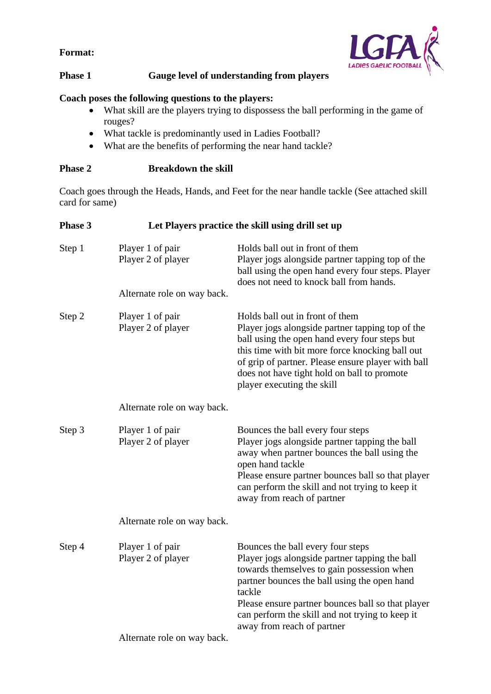**Format:** 



# **Phase 1 Gauge level of understanding from players**

# **Coach poses the following questions to the players:**

- What skill are the players trying to dispossess the ball performing in the game of rouges?
- What tackle is predominantly used in Ladies Football?
- What are the benefits of performing the near hand tackle?

# **Phase 2 Breakdown the skill**

Coach goes through the Heads, Hands, and Feet for the near handle tackle (See attached skill card for same)

| Phase 3 | Let Players practice the skill using drill set up |                                                                                                                                                                                                                                                                                                                                   |  |
|---------|---------------------------------------------------|-----------------------------------------------------------------------------------------------------------------------------------------------------------------------------------------------------------------------------------------------------------------------------------------------------------------------------------|--|
| Step 1  | Player 1 of pair<br>Player 2 of player            | Holds ball out in front of them<br>Player jogs alongside partner tapping top of the<br>ball using the open hand every four steps. Player<br>does not need to knock ball from hands.                                                                                                                                               |  |
|         | Alternate role on way back.                       |                                                                                                                                                                                                                                                                                                                                   |  |
| Step 2  | Player 1 of pair<br>Player 2 of player            | Holds ball out in front of them<br>Player jogs alongside partner tapping top of the<br>ball using the open hand every four steps but<br>this time with bit more force knocking ball out<br>of grip of partner. Please ensure player with ball<br>does not have tight hold on ball to promote<br>player executing the skill        |  |
|         | Alternate role on way back.                       |                                                                                                                                                                                                                                                                                                                                   |  |
| Step 3  | Player 1 of pair<br>Player 2 of player            | Bounces the ball every four steps<br>Player jogs alongside partner tapping the ball<br>away when partner bounces the ball using the<br>open hand tackle<br>Please ensure partner bounces ball so that player<br>can perform the skill and not trying to keep it<br>away from reach of partner                                     |  |
|         | Alternate role on way back.                       |                                                                                                                                                                                                                                                                                                                                   |  |
| Step 4  | Player 1 of pair<br>Player 2 of player            | Bounces the ball every four steps<br>Player jogs alongside partner tapping the ball<br>towards themselves to gain possession when<br>partner bounces the ball using the open hand<br>tackle<br>Please ensure partner bounces ball so that player<br>can perform the skill and not trying to keep it<br>away from reach of partner |  |
|         | Alternate role on way back.                       |                                                                                                                                                                                                                                                                                                                                   |  |